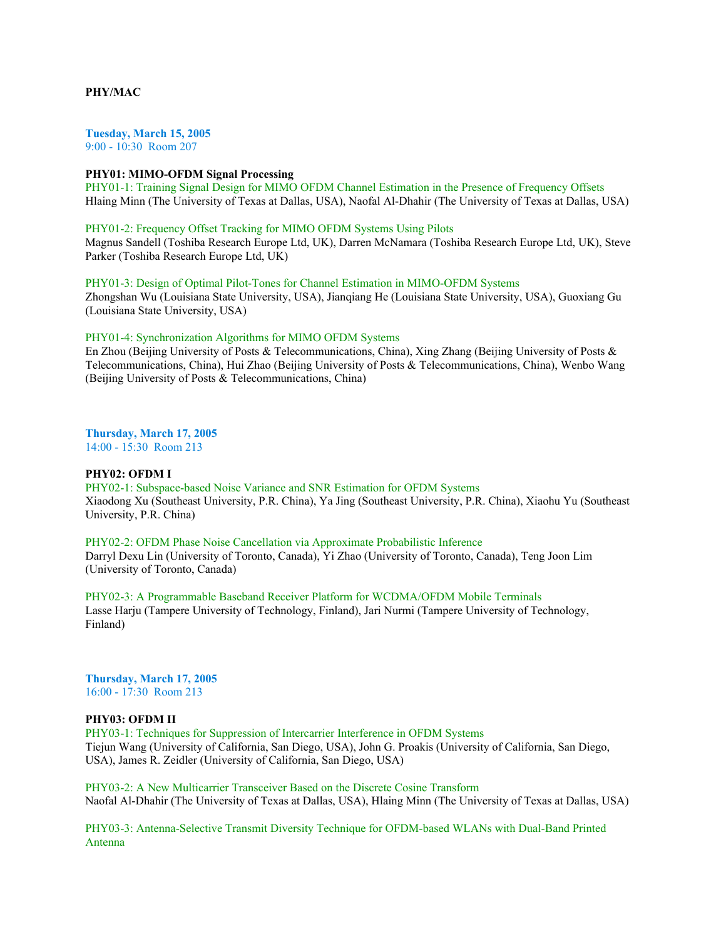# **PHY/MAC**

**Tuesday, March 15, 2005** 9:00 - 10:30 Room 207

### **PHY01: MIMO-OFDM Signal Processing**

PHY01-1: Training Signal Design for MIMO OFDM Channel Estimation in the Presence of Frequency Offsets Hlaing Minn (The University of Texas at Dallas, USA), Naofal Al-Dhahir (The University of Texas at Dallas, USA)

## PHY01-2: Frequency Offset Tracking for MIMO OFDM Systems Using Pilots

Magnus Sandell (Toshiba Research Europe Ltd, UK), Darren McNamara (Toshiba Research Europe Ltd, UK), Steve Parker (Toshiba Research Europe Ltd, UK)

# PHY01-3: Design of Optimal Pilot-Tones for Channel Estimation in MIMO-OFDM Systems Zhongshan Wu (Louisiana State University, USA), Jianqiang He (Louisiana State University, USA), Guoxiang Gu (Louisiana State University, USA)

### PHY01-4: Synchronization Algorithms for MIMO OFDM Systems

En Zhou (Beijing University of Posts & Telecommunications, China), Xing Zhang (Beijing University of Posts & Telecommunications, China), Hui Zhao (Beijing University of Posts & Telecommunications, China), Wenbo Wang (Beijing University of Posts & Telecommunications, China)

**Thursday, March 17, 2005** 14:00 - 15:30 Room 213

#### **PHY02: OFDM I**

PHY02-1: Subspace-based Noise Variance and SNR Estimation for OFDM Systems Xiaodong Xu (Southeast University, P.R. China), Ya Jing (Southeast University, P.R. China), Xiaohu Yu (Southeast University, P.R. China)

PHY02-2: OFDM Phase Noise Cancellation via Approximate Probabilistic Inference Darryl Dexu Lin (University of Toronto, Canada), Yi Zhao (University of Toronto, Canada), Teng Joon Lim (University of Toronto, Canada)

PHY02-3: A Programmable Baseband Receiver Platform for WCDMA/OFDM Mobile Terminals Lasse Harju (Tampere University of Technology, Finland), Jari Nurmi (Tampere University of Technology, Finland)

**Thursday, March 17, 2005** 16:00 - 17:30 Room 213

## **PHY03: OFDM II**

PHY03-1: Techniques for Suppression of Intercarrier Interference in OFDM Systems Tiejun Wang (University of California, San Diego, USA), John G. Proakis (University of California, San Diego, USA), James R. Zeidler (University of California, San Diego, USA)

PHY03-2: A New Multicarrier Transceiver Based on the Discrete Cosine Transform Naofal Al-Dhahir (The University of Texas at Dallas, USA), Hlaing Minn (The University of Texas at Dallas, USA)

PHY03-3: Antenna-Selective Transmit Diversity Technique for OFDM-based WLANs with Dual-Band Printed Antenna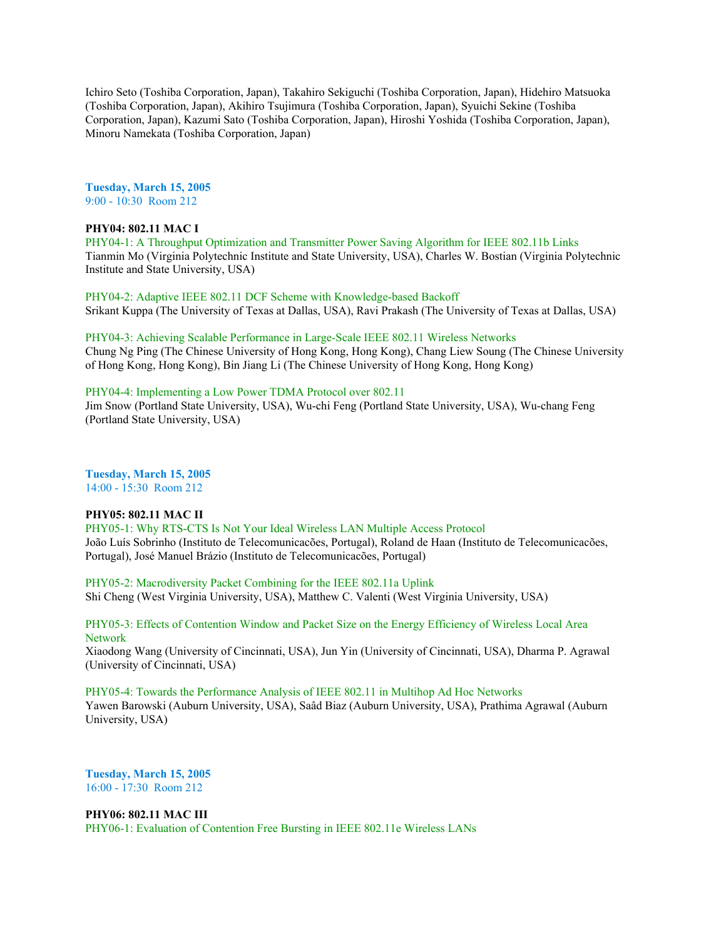Ichiro Seto (Toshiba Corporation, Japan), Takahiro Sekiguchi (Toshiba Corporation, Japan), Hidehiro Matsuoka (Toshiba Corporation, Japan), Akihiro Tsujimura (Toshiba Corporation, Japan), Syuichi Sekine (Toshiba Corporation, Japan), Kazumi Sato (Toshiba Corporation, Japan), Hiroshi Yoshida (Toshiba Corporation, Japan), Minoru Namekata (Toshiba Corporation, Japan)

**Tuesday, March 15, 2005** 9:00 - 10:30 Room 212

# **PHY04: 802.11 MAC I**

PHY04-1: A Throughput Optimization and Transmitter Power Saving Algorithm for IEEE 802.11b Links Tianmin Mo (Virginia Polytechnic Institute and State University, USA), Charles W. Bostian (Virginia Polytechnic Institute and State University, USA)

PHY04-2: Adaptive IEEE 802.11 DCF Scheme with Knowledge-based Backoff Srikant Kuppa (The University of Texas at Dallas, USA), Ravi Prakash (The University of Texas at Dallas, USA)

PHY04-3: Achieving Scalable Performance in Large-Scale IEEE 802.11 Wireless Networks Chung Ng Ping (The Chinese University of Hong Kong, Hong Kong), Chang Liew Soung (The Chinese University of Hong Kong, Hong Kong), Bin Jiang Li (The Chinese University of Hong Kong, Hong Kong)

# PHY04-4: Implementing a Low Power TDMA Protocol over 802.11

Jim Snow (Portland State University, USA), Wu-chi Feng (Portland State University, USA), Wu-chang Feng (Portland State University, USA)

**Tuesday, March 15, 2005** 14:00 - 15:30 Room 212

# **PHY05: 802.11 MAC II**

PHY05-1: Why RTS-CTS Is Not Your Ideal Wireless LAN Multiple Access Protocol João Luís Sobrinho (Instituto de Telecomunicacões, Portugal), Roland de Haan (Instituto de Telecomunicacões, Portugal), José Manuel Brázio (Instituto de Telecomunicacões, Portugal)

PHY05-2: Macrodiversity Packet Combining for the IEEE 802.11a Uplink Shi Cheng (West Virginia University, USA), Matthew C. Valenti (West Virginia University, USA)

PHY05-3: Effects of Contention Window and Packet Size on the Energy Efficiency of Wireless Local Area Network

Xiaodong Wang (University of Cincinnati, USA), Jun Yin (University of Cincinnati, USA), Dharma P. Agrawal (University of Cincinnati, USA)

PHY05-4: Towards the Performance Analysis of IEEE 802.11 in Multihop Ad Hoc Networks Yawen Barowski (Auburn University, USA), Saâd Biaz (Auburn University, USA), Prathima Agrawal (Auburn University, USA)

**Tuesday, March 15, 2005** 16:00 - 17:30 Room 212

# **PHY06: 802.11 MAC III**

PHY06-1: Evaluation of Contention Free Bursting in IEEE 802.11e Wireless LANs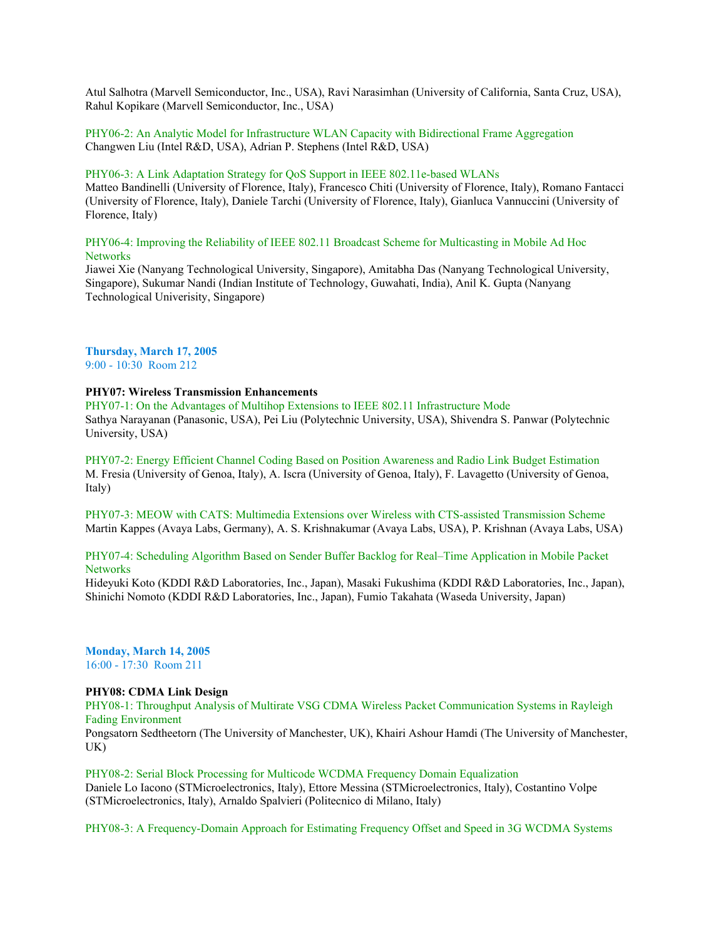Atul Salhotra (Marvell Semiconductor, Inc., USA), Ravi Narasimhan (University of California, Santa Cruz, USA), Rahul Kopikare (Marvell Semiconductor, Inc., USA)

PHY06-2: An Analytic Model for Infrastructure WLAN Capacity with Bidirectional Frame Aggregation Changwen Liu (Intel R&D, USA), Adrian P. Stephens (Intel R&D, USA)

#### PHY06-3: A Link Adaptation Strategy for QoS Support in IEEE 802.11e-based WLANs

Matteo Bandinelli (University of Florence, Italy), Francesco Chiti (University of Florence, Italy), Romano Fantacci (University of Florence, Italy), Daniele Tarchi (University of Florence, Italy), Gianluca Vannuccini (University of Florence, Italy)

PHY06-4: Improving the Reliability of IEEE 802.11 Broadcast Scheme for Multicasting in Mobile Ad Hoc **Networks** 

Jiawei Xie (Nanyang Technological University, Singapore), Amitabha Das (Nanyang Technological University, Singapore), Sukumar Nandi (Indian Institute of Technology, Guwahati, India), Anil K. Gupta (Nanyang Technological Univerisity, Singapore)

# **Thursday, March 17, 2005**

9:00 - 10:30 Room 212

# **PHY07: Wireless Transmission Enhancements**

PHY07-1: On the Advantages of Multihop Extensions to IEEE 802.11 Infrastructure Mode Sathya Narayanan (Panasonic, USA), Pei Liu (Polytechnic University, USA), Shivendra S. Panwar (Polytechnic University, USA)

PHY07-2: Energy Efficient Channel Coding Based on Position Awareness and Radio Link Budget Estimation M. Fresia (University of Genoa, Italy), A. Iscra (University of Genoa, Italy), F. Lavagetto (University of Genoa, Italy)

PHY07-3: MEOW with CATS: Multimedia Extensions over Wireless with CTS-assisted Transmission Scheme Martin Kappes (Avaya Labs, Germany), A. S. Krishnakumar (Avaya Labs, USA), P. Krishnan (Avaya Labs, USA)

# PHY07-4: Scheduling Algorithm Based on Sender Buffer Backlog for Real–Time Application in Mobile Packet **Networks**

Hideyuki Koto (KDDI R&D Laboratories, Inc., Japan), Masaki Fukushima (KDDI R&D Laboratories, Inc., Japan), Shinichi Nomoto (KDDI R&D Laboratories, Inc., Japan), Fumio Takahata (Waseda University, Japan)

**Monday, March 14, 2005** 16:00 - 17:30 Room 211

# **PHY08: CDMA Link Design**

PHY08-1: Throughput Analysis of Multirate VSG CDMA Wireless Packet Communication Systems in Rayleigh Fading Environment

Pongsatorn Sedtheetorn (The University of Manchester, UK), Khairi Ashour Hamdi (The University of Manchester, UK)

PHY08-2: Serial Block Processing for Multicode WCDMA Frequency Domain Equalization Daniele Lo Iacono (STMicroelectronics, Italy), Ettore Messina (STMicroelectronics, Italy), Costantino Volpe (STMicroelectronics, Italy), Arnaldo Spalvieri (Politecnico di Milano, Italy)

PHY08-3: A Frequency-Domain Approach for Estimating Frequency Offset and Speed in 3G WCDMA Systems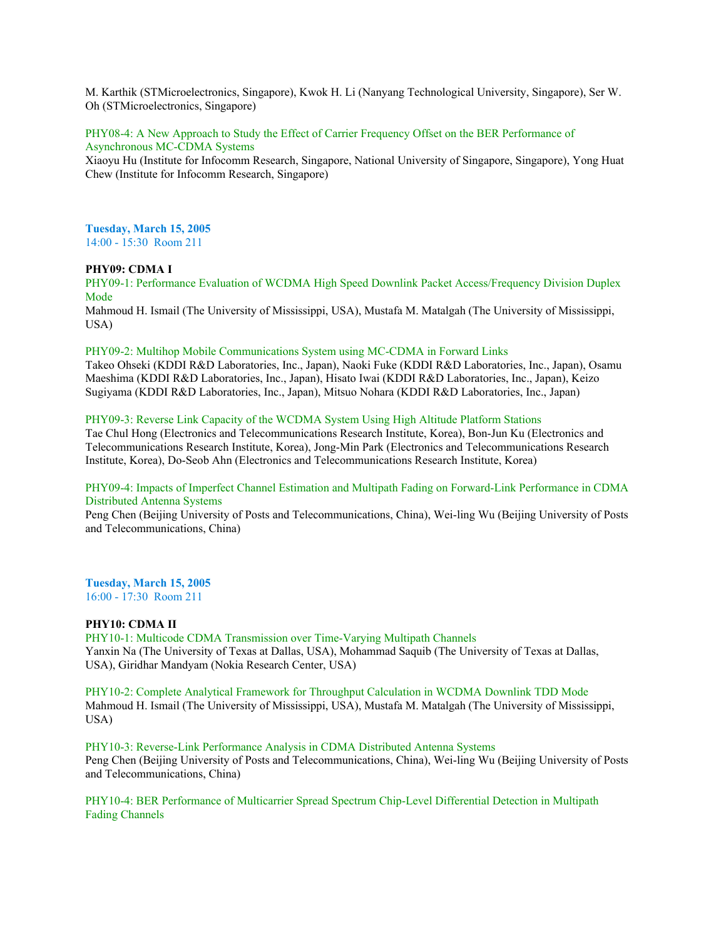M. Karthik (STMicroelectronics, Singapore), Kwok H. Li (Nanyang Technological University, Singapore), Ser W. Oh (STMicroelectronics, Singapore)

PHY08-4: A New Approach to Study the Effect of Carrier Frequency Offset on the BER Performance of Asynchronous MC-CDMA Systems

Xiaoyu Hu (Institute for Infocomm Research, Singapore, National University of Singapore, Singapore), Yong Huat Chew (Institute for Infocomm Research, Singapore)

**Tuesday, March 15, 2005** 14:00 - 15:30 Room 211

#### **PHY09: CDMA I**

PHY09-1: Performance Evaluation of WCDMA High Speed Downlink Packet Access/Frequency Division Duplex Mode

Mahmoud H. Ismail (The University of Mississippi, USA), Mustafa M. Matalgah (The University of Mississippi, USA)

## PHY09-2: Multihop Mobile Communications System using MC-CDMA in Forward Links

Takeo Ohseki (KDDI R&D Laboratories, Inc., Japan), Naoki Fuke (KDDI R&D Laboratories, Inc., Japan), Osamu Maeshima (KDDI R&D Laboratories, Inc., Japan), Hisato Iwai (KDDI R&D Laboratories, Inc., Japan), Keizo Sugiyama (KDDI R&D Laboratories, Inc., Japan), Mitsuo Nohara (KDDI R&D Laboratories, Inc., Japan)

#### PHY09-3: Reverse Link Capacity of the WCDMA System Using High Altitude Platform Stations

Tae Chul Hong (Electronics and Telecommunications Research Institute, Korea), Bon-Jun Ku (Electronics and Telecommunications Research Institute, Korea), Jong-Min Park (Electronics and Telecommunications Research Institute, Korea), Do-Seob Ahn (Electronics and Telecommunications Research Institute, Korea)

## PHY09-4: Impacts of Imperfect Channel Estimation and Multipath Fading on Forward-Link Performance in CDMA Distributed Antenna Systems

Peng Chen (Beijing University of Posts and Telecommunications, China), Wei-ling Wu (Beijing University of Posts and Telecommunications, China)

**Tuesday, March 15, 2005** 16:00 - 17:30 Room 211

## **PHY10: CDMA II**

PHY10-1: Multicode CDMA Transmission over Time-Varying Multipath Channels Yanxin Na (The University of Texas at Dallas, USA), Mohammad Saquib (The University of Texas at Dallas, USA), Giridhar Mandyam (Nokia Research Center, USA)

PHY10-2: Complete Analytical Framework for Throughput Calculation in WCDMA Downlink TDD Mode Mahmoud H. Ismail (The University of Mississippi, USA), Mustafa M. Matalgah (The University of Mississippi, USA)

PHY10-3: Reverse-Link Performance Analysis in CDMA Distributed Antenna Systems Peng Chen (Beijing University of Posts and Telecommunications, China), Wei-ling Wu (Beijing University of Posts and Telecommunications, China)

PHY10-4: BER Performance of Multicarrier Spread Spectrum Chip-Level Differential Detection in Multipath Fading Channels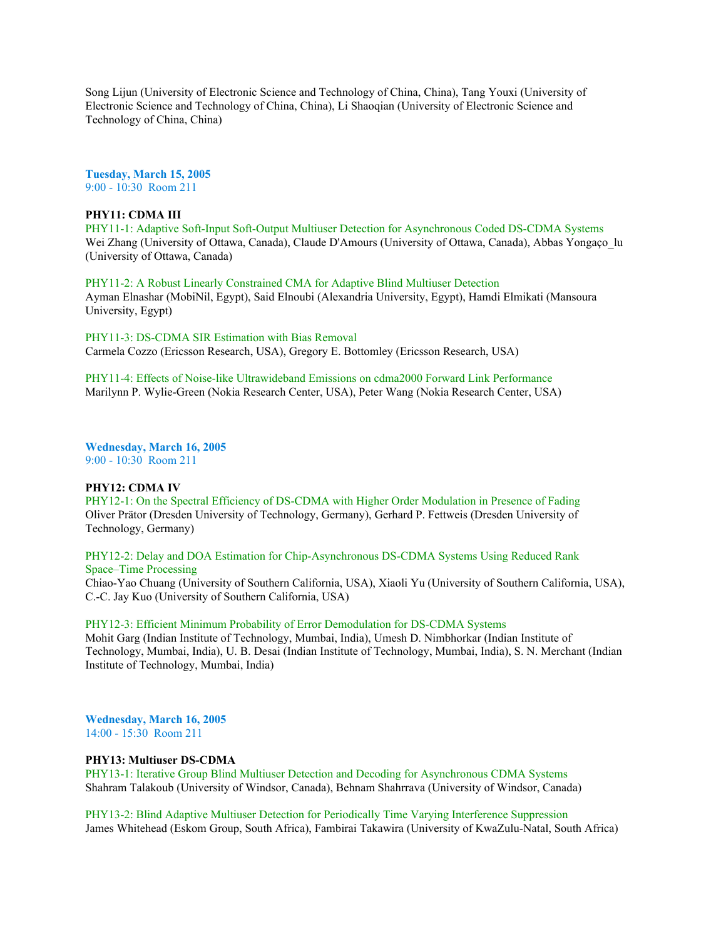Song Lijun (University of Electronic Science and Technology of China, China), Tang Youxi (University of Electronic Science and Technology of China, China), Li Shaoqian (University of Electronic Science and Technology of China, China)

**Tuesday, March 15, 2005** 9:00 - 10:30 Room 211

## **PHY11: CDMA III**

PHY11-1: Adaptive Soft-Input Soft-Output Multiuser Detection for Asynchronous Coded DS-CDMA Systems Wei Zhang (University of Ottawa, Canada), Claude D'Amours (University of Ottawa, Canada), Abbas Yongaço\_lu (University of Ottawa, Canada)

PHY11-2: A Robust Linearly Constrained CMA for Adaptive Blind Multiuser Detection Ayman Elnashar (MobiNil, Egypt), Said Elnoubi (Alexandria University, Egypt), Hamdi Elmikati (Mansoura University, Egypt)

PHY11-3: DS-CDMA SIR Estimation with Bias Removal Carmela Cozzo (Ericsson Research, USA), Gregory E. Bottomley (Ericsson Research, USA)

PHY11-4: Effects of Noise-like Ultrawideband Emissions on cdma2000 Forward Link Performance Marilynn P. Wylie-Green (Nokia Research Center, USA), Peter Wang (Nokia Research Center, USA)

**Wednesday, March 16, 2005** 9:00 - 10:30 Room 211

#### **PHY12: CDMA IV**

PHY12-1: On the Spectral Efficiency of DS-CDMA with Higher Order Modulation in Presence of Fading Oliver Prätor (Dresden University of Technology, Germany), Gerhard P. Fettweis (Dresden University of Technology, Germany)

PHY12-2: Delay and DOA Estimation for Chip-Asynchronous DS-CDMA Systems Using Reduced Rank Space–Time Processing

Chiao-Yao Chuang (University of Southern California, USA), Xiaoli Yu (University of Southern California, USA), C.-C. Jay Kuo (University of Southern California, USA)

#### PHY12-3: Efficient Minimum Probability of Error Demodulation for DS-CDMA Systems

Mohit Garg (Indian Institute of Technology, Mumbai, India), Umesh D. Nimbhorkar (Indian Institute of Technology, Mumbai, India), U. B. Desai (Indian Institute of Technology, Mumbai, India), S. N. Merchant (Indian Institute of Technology, Mumbai, India)

**Wednesday, March 16, 2005** 14:00 - 15:30 Room 211

#### **PHY13: Multiuser DS-CDMA**

PHY13-1: Iterative Group Blind Multiuser Detection and Decoding for Asynchronous CDMA Systems Shahram Talakoub (University of Windsor, Canada), Behnam Shahrrava (University of Windsor, Canada)

PHY13-2: Blind Adaptive Multiuser Detection for Periodically Time Varying Interference Suppression James Whitehead (Eskom Group, South Africa), Fambirai Takawira (University of KwaZulu-Natal, South Africa)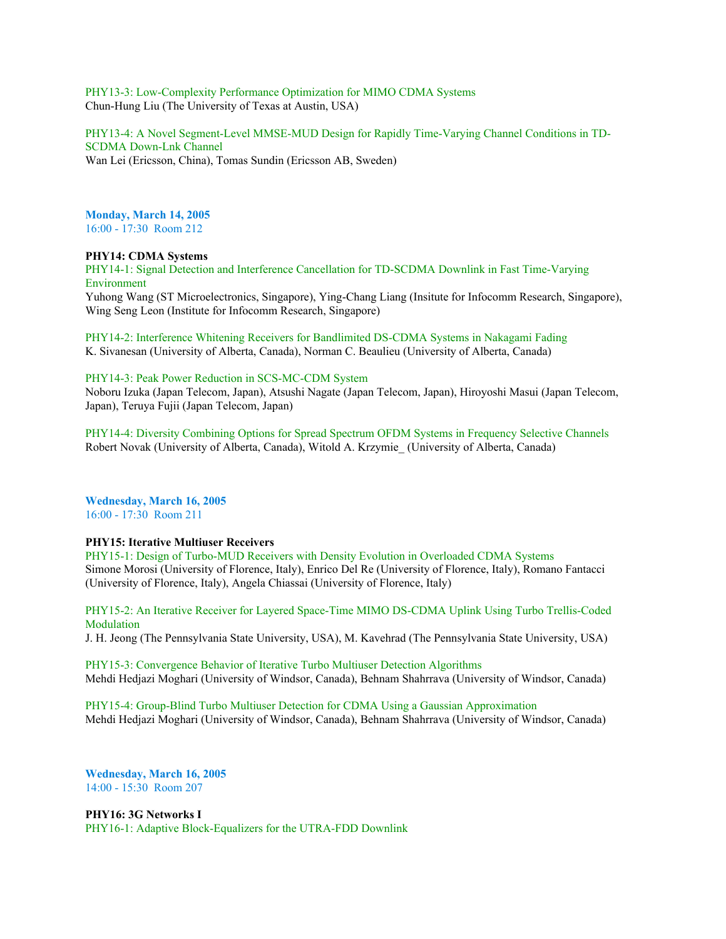PHY13-3: Low-Complexity Performance Optimization for MIMO CDMA Systems Chun-Hung Liu (The University of Texas at Austin, USA)

PHY13-4: A Novel Segment-Level MMSE-MUD Design for Rapidly Time-Varying Channel Conditions in TD-SCDMA Down-Lnk Channel Wan Lei (Ericsson, China), Tomas Sundin (Ericsson AB, Sweden)

**Monday, March 14, 2005** 16:00 - 17:30 Room 212

## **PHY14: CDMA Systems**

PHY14-1: Signal Detection and Interference Cancellation for TD-SCDMA Downlink in Fast Time-Varying Environment

Yuhong Wang (ST Microelectronics, Singapore), Ying-Chang Liang (Insitute for Infocomm Research, Singapore), Wing Seng Leon (Institute for Infocomm Research, Singapore)

PHY14-2: Interference Whitening Receivers for Bandlimited DS-CDMA Systems in Nakagami Fading K. Sivanesan (University of Alberta, Canada), Norman C. Beaulieu (University of Alberta, Canada)

## PHY14-3: Peak Power Reduction in SCS-MC-CDM System

Noboru Izuka (Japan Telecom, Japan), Atsushi Nagate (Japan Telecom, Japan), Hiroyoshi Masui (Japan Telecom, Japan), Teruya Fujii (Japan Telecom, Japan)

PHY14-4: Diversity Combining Options for Spread Spectrum OFDM Systems in Frequency Selective Channels Robert Novak (University of Alberta, Canada), Witold A. Krzymie\_ (University of Alberta, Canada)

#### **Wednesday, March 16, 2005** 16:00 - 17:30 Room 211

# **PHY15: Iterative Multiuser Receivers**

PHY15-1: Design of Turbo-MUD Receivers with Density Evolution in Overloaded CDMA Systems Simone Morosi (University of Florence, Italy), Enrico Del Re (University of Florence, Italy), Romano Fantacci (University of Florence, Italy), Angela Chiassai (University of Florence, Italy)

PHY15-2: An Iterative Receiver for Layered Space-Time MIMO DS-CDMA Uplink Using Turbo Trellis-Coded **Modulation** 

J. H. Jeong (The Pennsylvania State University, USA), M. Kavehrad (The Pennsylvania State University, USA)

PHY15-3: Convergence Behavior of Iterative Turbo Multiuser Detection Algorithms Mehdi Hedjazi Moghari (University of Windsor, Canada), Behnam Shahrrava (University of Windsor, Canada)

PHY15-4: Group-Blind Turbo Multiuser Detection for CDMA Using a Gaussian Approximation Mehdi Hedjazi Moghari (University of Windsor, Canada), Behnam Shahrrava (University of Windsor, Canada)

**Wednesday, March 16, 2005** 14:00 - 15:30 Room 207

**PHY16: 3G Networks I** PHY16-1: Adaptive Block-Equalizers for the UTRA-FDD Downlink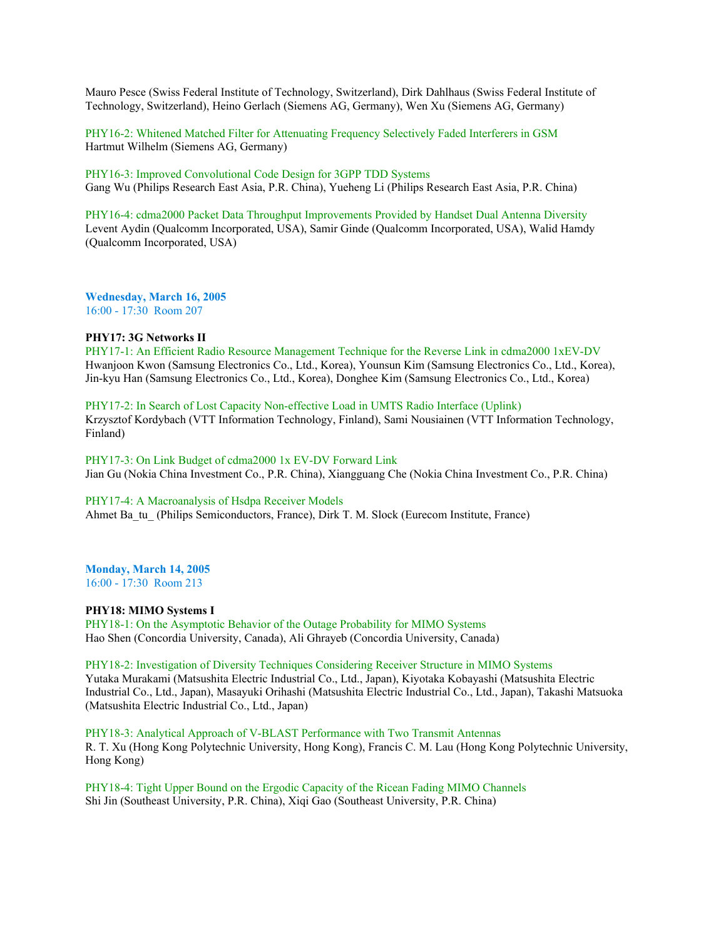Mauro Pesce (Swiss Federal Institute of Technology, Switzerland), Dirk Dahlhaus (Swiss Federal Institute of Technology, Switzerland), Heino Gerlach (Siemens AG, Germany), Wen Xu (Siemens AG, Germany)

PHY16-2: Whitened Matched Filter for Attenuating Frequency Selectively Faded Interferers in GSM Hartmut Wilhelm (Siemens AG, Germany)

PHY16-3: Improved Convolutional Code Design for 3GPP TDD Systems Gang Wu (Philips Research East Asia, P.R. China), Yueheng Li (Philips Research East Asia, P.R. China)

PHY16-4: cdma2000 Packet Data Throughput Improvements Provided by Handset Dual Antenna Diversity Levent Aydin (Qualcomm Incorporated, USA), Samir Ginde (Qualcomm Incorporated, USA), Walid Hamdy (Qualcomm Incorporated, USA)

**Wednesday, March 16, 2005** 16:00 - 17:30 Room 207

### **PHY17: 3G Networks II**

PHY17-1: An Efficient Radio Resource Management Technique for the Reverse Link in cdma2000 1xEV-DV Hwanjoon Kwon (Samsung Electronics Co., Ltd., Korea), Younsun Kim (Samsung Electronics Co., Ltd., Korea), Jin-kyu Han (Samsung Electronics Co., Ltd., Korea), Donghee Kim (Samsung Electronics Co., Ltd., Korea)

PHY17-2: In Search of Lost Capacity Non-effective Load in UMTS Radio Interface (Uplink) Krzysztof Kordybach (VTT Information Technology, Finland), Sami Nousiainen (VTT Information Technology, Finland)

PHY17-3: On Link Budget of cdma2000 1x EV-DV Forward Link Jian Gu (Nokia China Investment Co., P.R. China), Xiangguang Che (Nokia China Investment Co., P.R. China)

#### PHY17-4: A Macroanalysis of Hsdpa Receiver Models

Ahmet Ba\_tu\_ (Philips Semiconductors, France), Dirk T. M. Slock (Eurecom Institute, France)

# **Monday, March 14, 2005**

16:00 - 17:30 Room 213

## **PHY18: MIMO Systems I**

PHY18-1: On the Asymptotic Behavior of the Outage Probability for MIMO Systems Hao Shen (Concordia University, Canada), Ali Ghrayeb (Concordia University, Canada)

# PHY18-2: Investigation of Diversity Techniques Considering Receiver Structure in MIMO Systems

Yutaka Murakami (Matsushita Electric Industrial Co., Ltd., Japan), Kiyotaka Kobayashi (Matsushita Electric Industrial Co., Ltd., Japan), Masayuki Orihashi (Matsushita Electric Industrial Co., Ltd., Japan), Takashi Matsuoka (Matsushita Electric Industrial Co., Ltd., Japan)

PHY18-3: Analytical Approach of V-BLAST Performance with Two Transmit Antennas R. T. Xu (Hong Kong Polytechnic University, Hong Kong), Francis C. M. Lau (Hong Kong Polytechnic University, Hong Kong)

PHY18-4: Tight Upper Bound on the Ergodic Capacity of the Ricean Fading MIMO Channels Shi Jin (Southeast University, P.R. China), Xiqi Gao (Southeast University, P.R. China)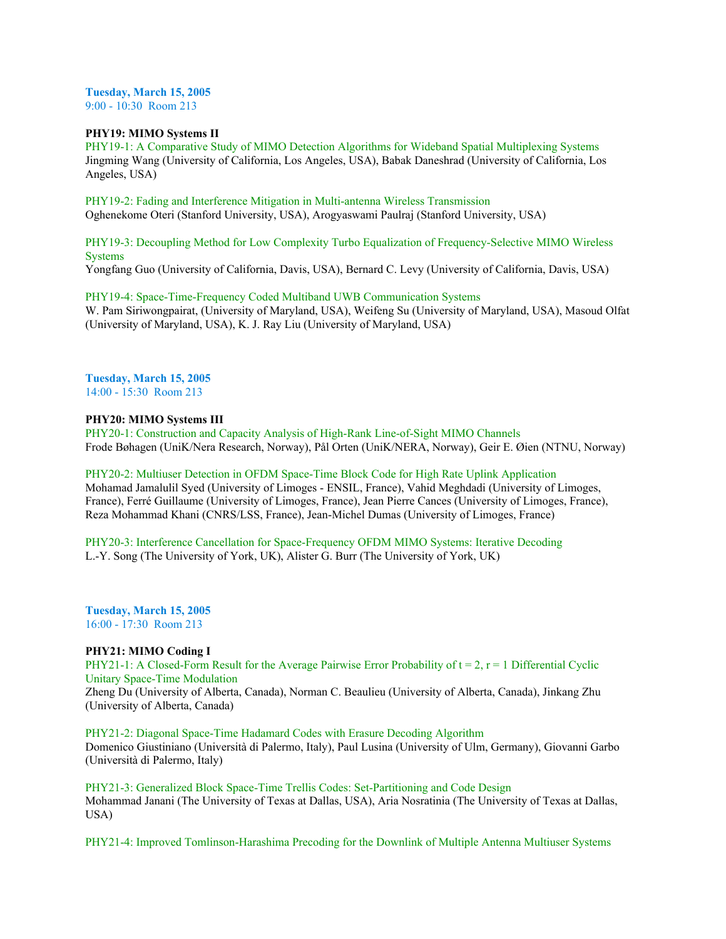#### **Tuesday, March 15, 2005** 9:00 - 10:30 Room 213

**PHY19: MIMO Systems II**

PHY19-1: A Comparative Study of MIMO Detection Algorithms for Wideband Spatial Multiplexing Systems Jingming Wang (University of California, Los Angeles, USA), Babak Daneshrad (University of California, Los Angeles, USA)

PHY19-2: Fading and Interference Mitigation in Multi-antenna Wireless Transmission Oghenekome Oteri (Stanford University, USA), Arogyaswami Paulraj (Stanford University, USA)

PHY19-3: Decoupling Method for Low Complexity Turbo Equalization of Frequency-Selective MIMO Wireless Systems

Yongfang Guo (University of California, Davis, USA), Bernard C. Levy (University of California, Davis, USA)

PHY19-4: Space-Time-Frequency Coded Multiband UWB Communication Systems W. Pam Siriwongpairat, (University of Maryland, USA), Weifeng Su (University of Maryland, USA), Masoud Olfat (University of Maryland, USA), K. J. Ray Liu (University of Maryland, USA)

**Tuesday, March 15, 2005** 14:00 - 15:30 Room 213

# **PHY20: MIMO Systems III**

PHY20-1: Construction and Capacity Analysis of High-Rank Line-of-Sight MIMO Channels Frode Bøhagen (UniK/Nera Research, Norway), Pål Orten (UniK/NERA, Norway), Geir E. Øien (NTNU, Norway)

# PHY20-2: Multiuser Detection in OFDM Space-Time Block Code for High Rate Uplink Application

Mohamad Jamalulil Syed (University of Limoges - ENSIL, France), Vahid Meghdadi (University of Limoges, France), Ferré Guillaume (University of Limoges, France), Jean Pierre Cances (University of Limoges, France), Reza Mohammad Khani (CNRS/LSS, France), Jean-Michel Dumas (University of Limoges, France)

PHY20-3: Interference Cancellation for Space-Frequency OFDM MIMO Systems: Iterative Decoding L.-Y. Song (The University of York, UK), Alister G. Burr (The University of York, UK)

**Tuesday, March 15, 2005** 16:00 - 17:30 Room 213

# **PHY21: MIMO Coding I**

PHY21-1: A Closed-Form Result for the Average Pairwise Error Probability of  $t = 2$ ,  $r = 1$  Differential Cyclic Unitary Space-Time Modulation

Zheng Du (University of Alberta, Canada), Norman C. Beaulieu (University of Alberta, Canada), Jinkang Zhu (University of Alberta, Canada)

PHY21-2: Diagonal Space-Time Hadamard Codes with Erasure Decoding Algorithm Domenico Giustiniano (Università di Palermo, Italy), Paul Lusina (University of Ulm, Germany), Giovanni Garbo (Università di Palermo, Italy)

PHY21-3: Generalized Block Space-Time Trellis Codes: Set-Partitioning and Code Design Mohammad Janani (The University of Texas at Dallas, USA), Aria Nosratinia (The University of Texas at Dallas, USA)

PHY21-4: Improved Tomlinson-Harashima Precoding for the Downlink of Multiple Antenna Multiuser Systems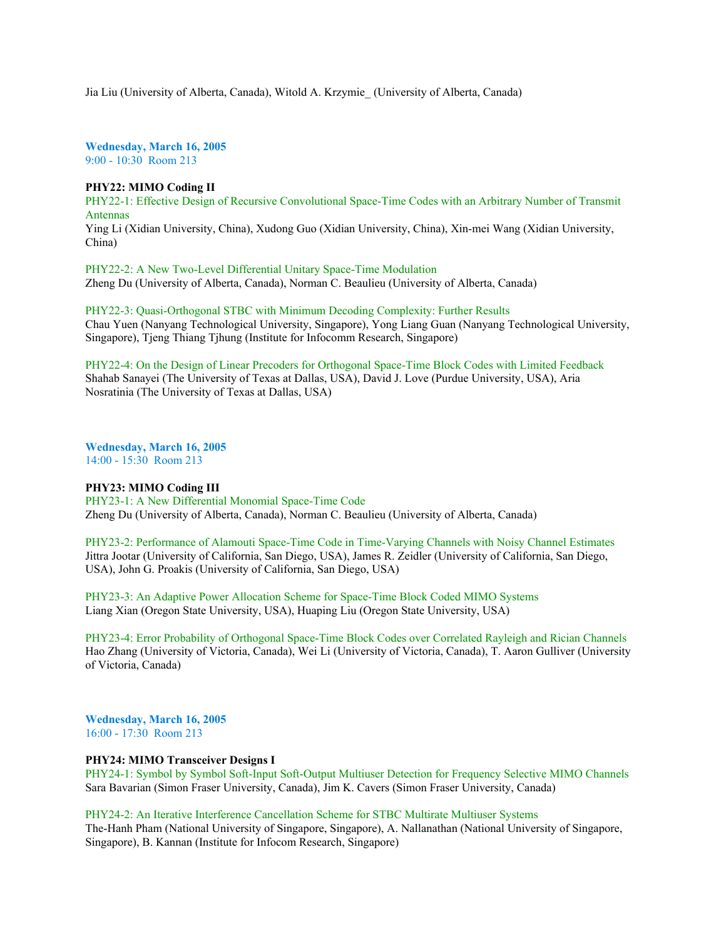Jia Liu (University of Alberta, Canada), Witold A. Krzymie\_ (University of Alberta, Canada)

**Wednesday, March 16, 2005** 9:00 - 10:30 Room 213

## **PHY22: MIMO Coding II**

PHY22-1: Effective Design of Recursive Convolutional Space-Time Codes with an Arbitrary Number of Transmit Antennas Ying Li (Xidian University, China), Xudong Guo (Xidian University, China), Xin-mei Wang (Xidian University, China)

PHY22-2: A New Two-Level Differential Unitary Space-Time Modulation Zheng Du (University of Alberta, Canada), Norman C. Beaulieu (University of Alberta, Canada)

PHY22-3: Quasi-Orthogonal STBC with Minimum Decoding Complexity: Further Results Chau Yuen (Nanyang Technological University, Singapore), Yong Liang Guan (Nanyang Technological University, Singapore), Tjeng Thiang Tjhung (Institute for Infocomm Research, Singapore)

PHY22-4: On the Design of Linear Precoders for Orthogonal Space-Time Block Codes with Limited Feedback Shahab Sanayei (The University of Texas at Dallas, USA), David J. Love (Purdue University, USA), Aria Nosratinia (The University of Texas at Dallas, USA)

**Wednesday, March 16, 2005** 14:00 - 15:30 Room 213

#### **PHY23: MIMO Coding III**

PHY23-1: A New Differential Monomial Space-Time Code Zheng Du (University of Alberta, Canada), Norman C. Beaulieu (University of Alberta, Canada)

PHY23-2: Performance of Alamouti Space-Time Code in Time-Varying Channels with Noisy Channel Estimates Jittra Jootar (University of California, San Diego, USA), James R. Zeidler (University of California, San Diego, USA), John G. Proakis (University of California, San Diego, USA)

PHY23-3: An Adaptive Power Allocation Scheme for Space-Time Block Coded MIMO Systems Liang Xian (Oregon State University, USA), Huaping Liu (Oregon State University, USA)

PHY23-4: Error Probability of Orthogonal Space-Time Block Codes over Correlated Rayleigh and Rician Channels Hao Zhang (University of Victoria, Canada), Wei Li (University of Victoria, Canada), T. Aaron Gulliver (University of Victoria, Canada)

**Wednesday, March 16, 2005** 16:00 - 17:30 Room 213

#### **PHY24: MIMO Transceiver Designs I**

PHY24-1: Symbol by Symbol Soft-Input Soft-Output Multiuser Detection for Frequency Selective MIMO Channels Sara Bavarian (Simon Fraser University, Canada), Jim K. Cavers (Simon Fraser University, Canada)

PHY24-2: An Iterative Interference Cancellation Scheme for STBC Multirate Multiuser Systems

The-Hanh Pham (National University of Singapore, Singapore), A. Nallanathan (National University of Singapore, Singapore), B. Kannan (Institute for Infocom Research, Singapore)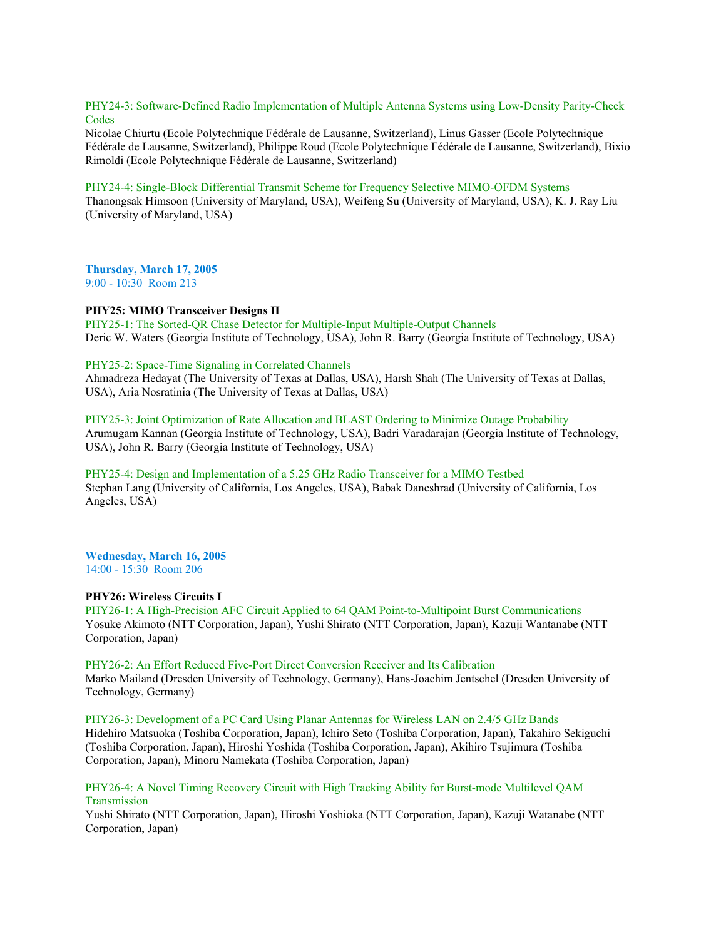PHY24-3: Software-Defined Radio Implementation of Multiple Antenna Systems using Low-Density Parity-Check **Codes** 

Nicolae Chiurtu (Ecole Polytechnique Fédérale de Lausanne, Switzerland), Linus Gasser (Ecole Polytechnique Fédérale de Lausanne, Switzerland), Philippe Roud (Ecole Polytechnique Fédérale de Lausanne, Switzerland), Bixio Rimoldi (Ecole Polytechnique Fédérale de Lausanne, Switzerland)

#### PHY24-4: Single-Block Differential Transmit Scheme for Frequency Selective MIMO-OFDM Systems

Thanongsak Himsoon (University of Maryland, USA), Weifeng Su (University of Maryland, USA), K. J. Ray Liu (University of Maryland, USA)

**Thursday, March 17, 2005** 9:00 - 10:30 Room 213

#### **PHY25: MIMO Transceiver Designs II**

PHY25-1: The Sorted-QR Chase Detector for Multiple-Input Multiple-Output Channels Deric W. Waters (Georgia Institute of Technology, USA), John R. Barry (Georgia Institute of Technology, USA)

## PHY25-2: Space-Time Signaling in Correlated Channels

Ahmadreza Hedayat (The University of Texas at Dallas, USA), Harsh Shah (The University of Texas at Dallas, USA), Aria Nosratinia (The University of Texas at Dallas, USA)

## PHY25-3: Joint Optimization of Rate Allocation and BLAST Ordering to Minimize Outage Probability

Arumugam Kannan (Georgia Institute of Technology, USA), Badri Varadarajan (Georgia Institute of Technology, USA), John R. Barry (Georgia Institute of Technology, USA)

PHY25-4: Design and Implementation of a 5.25 GHz Radio Transceiver for a MIMO Testbed Stephan Lang (University of California, Los Angeles, USA), Babak Daneshrad (University of California, Los Angeles, USA)

**Wednesday, March 16, 2005** 14:00 - 15:30 Room 206

#### **PHY26: Wireless Circuits I**

PHY26-1: A High-Precision AFC Circuit Applied to 64 QAM Point-to-Multipoint Burst Communications Yosuke Akimoto (NTT Corporation, Japan), Yushi Shirato (NTT Corporation, Japan), Kazuji Wantanabe (NTT Corporation, Japan)

## PHY26-2: An Effort Reduced Five-Port Direct Conversion Receiver and Its Calibration

Marko Mailand (Dresden University of Technology, Germany), Hans-Joachim Jentschel (Dresden University of Technology, Germany)

PHY26-3: Development of a PC Card Using Planar Antennas for Wireless LAN on 2.4/5 GHz Bands Hidehiro Matsuoka (Toshiba Corporation, Japan), Ichiro Seto (Toshiba Corporation, Japan), Takahiro Sekiguchi (Toshiba Corporation, Japan), Hiroshi Yoshida (Toshiba Corporation, Japan), Akihiro Tsujimura (Toshiba Corporation, Japan), Minoru Namekata (Toshiba Corporation, Japan)

## PHY26-4: A Novel Timing Recovery Circuit with High Tracking Ability for Burst-mode Multilevel QAM **Transmission**

Yushi Shirato (NTT Corporation, Japan), Hiroshi Yoshioka (NTT Corporation, Japan), Kazuji Watanabe (NTT Corporation, Japan)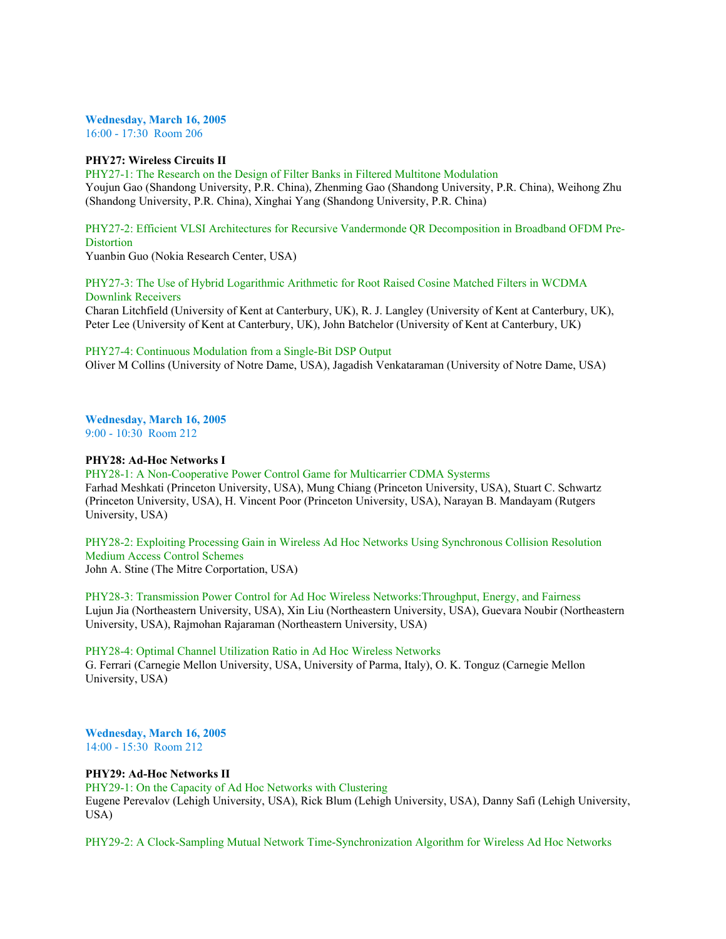**Wednesday, March 16, 2005** 16:00 - 17:30 Room 206

## **PHY27: Wireless Circuits II**

PHY27-1: The Research on the Design of Filter Banks in Filtered Multitone Modulation Youjun Gao (Shandong University, P.R. China), Zhenming Gao (Shandong University, P.R. China), Weihong Zhu (Shandong University, P.R. China), Xinghai Yang (Shandong University, P.R. China)

PHY27-2: Efficient VLSI Architectures for Recursive Vandermonde QR Decomposition in Broadband OFDM Pre-**Distortion** 

Yuanbin Guo (Nokia Research Center, USA)

PHY27-3: The Use of Hybrid Logarithmic Arithmetic for Root Raised Cosine Matched Filters in WCDMA Downlink Receivers

Charan Litchfield (University of Kent at Canterbury, UK), R. J. Langley (University of Kent at Canterbury, UK), Peter Lee (University of Kent at Canterbury, UK), John Batchelor (University of Kent at Canterbury, UK)

PHY27-4: Continuous Modulation from a Single-Bit DSP Output

Oliver M Collins (University of Notre Dame, USA), Jagadish Venkataraman (University of Notre Dame, USA)

**Wednesday, March 16, 2005** 9:00 - 10:30 Room 212

## **PHY28: Ad-Hoc Networks I**

PHY28-1: A Non-Cooperative Power Control Game for Multicarrier CDMA Systerms Farhad Meshkati (Princeton University, USA), Mung Chiang (Princeton University, USA), Stuart C. Schwartz (Princeton University, USA), H. Vincent Poor (Princeton University, USA), Narayan B. Mandayam (Rutgers University, USA)

PHY28-2: Exploiting Processing Gain in Wireless Ad Hoc Networks Using Synchronous Collision Resolution Medium Access Control Schemes John A. Stine (The Mitre Corportation, USA)

PHY28-3: Transmission Power Control for Ad Hoc Wireless Networks:Throughput, Energy, and Fairness Lujun Jia (Northeastern University, USA), Xin Liu (Northeastern University, USA), Guevara Noubir (Northeastern University, USA), Rajmohan Rajaraman (Northeastern University, USA)

PHY28-4: Optimal Channel Utilization Ratio in Ad Hoc Wireless Networks G. Ferrari (Carnegie Mellon University, USA, University of Parma, Italy), O. K. Tonguz (Carnegie Mellon University, USA)

**Wednesday, March 16, 2005** 14:00 - 15:30 Room 212

# **PHY29: Ad-Hoc Networks II**

PHY29-1: On the Capacity of Ad Hoc Networks with Clustering

Eugene Perevalov (Lehigh University, USA), Rick Blum (Lehigh University, USA), Danny Safi (Lehigh University, USA)

PHY29-2: A Clock-Sampling Mutual Network Time-Synchronization Algorithm for Wireless Ad Hoc Networks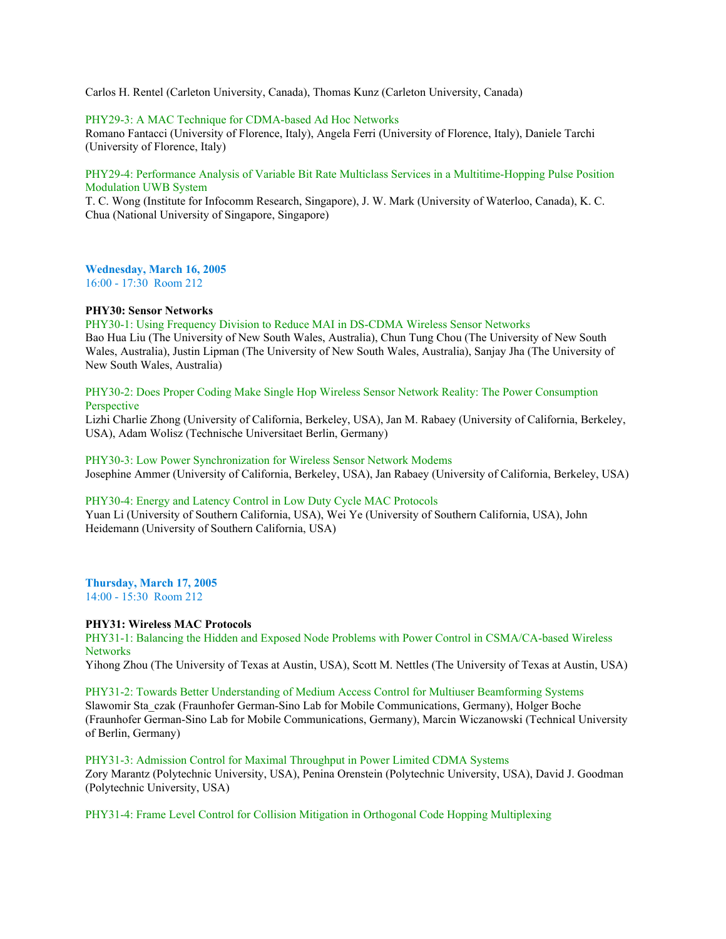Carlos H. Rentel (Carleton University, Canada), Thomas Kunz (Carleton University, Canada)

## PHY29-3: A MAC Technique for CDMA-based Ad Hoc Networks

Romano Fantacci (University of Florence, Italy), Angela Ferri (University of Florence, Italy), Daniele Tarchi (University of Florence, Italy)

# PHY29-4: Performance Analysis of Variable Bit Rate Multiclass Services in a Multitime-Hopping Pulse Position Modulation UWB System

T. C. Wong (Institute for Infocomm Research, Singapore), J. W. Mark (University of Waterloo, Canada), K. C. Chua (National University of Singapore, Singapore)

**Wednesday, March 16, 2005** 16:00 - 17:30 Room 212

#### **PHY30: Sensor Networks**

PHY30-1: Using Frequency Division to Reduce MAI in DS-CDMA Wireless Sensor Networks Bao Hua Liu (The University of New South Wales, Australia), Chun Tung Chou (The University of New South Wales, Australia), Justin Lipman (The University of New South Wales, Australia), Sanjay Jha (The University of New South Wales, Australia)

PHY30-2: Does Proper Coding Make Single Hop Wireless Sensor Network Reality: The Power Consumption **Perspective** 

Lizhi Charlie Zhong (University of California, Berkeley, USA), Jan M. Rabaey (University of California, Berkeley, USA), Adam Wolisz (Technische Universitaet Berlin, Germany)

PHY30-3: Low Power Synchronization for Wireless Sensor Network Modems Josephine Ammer (University of California, Berkeley, USA), Jan Rabaey (University of California, Berkeley, USA)

# PHY30-4: Energy and Latency Control in Low Duty Cycle MAC Protocols

Yuan Li (University of Southern California, USA), Wei Ye (University of Southern California, USA), John Heidemann (University of Southern California, USA)

#### **Thursday, March 17, 2005** 14:00 - 15:30 Room 212

#### **PHY31: Wireless MAC Protocols**

PHY31-1: Balancing the Hidden and Exposed Node Problems with Power Control in CSMA/CA-based Wireless **Networks** 

Yihong Zhou (The University of Texas at Austin, USA), Scott M. Nettles (The University of Texas at Austin, USA)

PHY31-2: Towards Better Understanding of Medium Access Control for Multiuser Beamforming Systems Slawomir Sta\_czak (Fraunhofer German-Sino Lab for Mobile Communications, Germany), Holger Boche (Fraunhofer German-Sino Lab for Mobile Communications, Germany), Marcin Wiczanowski (Technical University of Berlin, Germany)

# PHY31-3: Admission Control for Maximal Throughput in Power Limited CDMA Systems Zory Marantz (Polytechnic University, USA), Penina Orenstein (Polytechnic University, USA), David J. Goodman (Polytechnic University, USA)

PHY31-4: Frame Level Control for Collision Mitigation in Orthogonal Code Hopping Multiplexing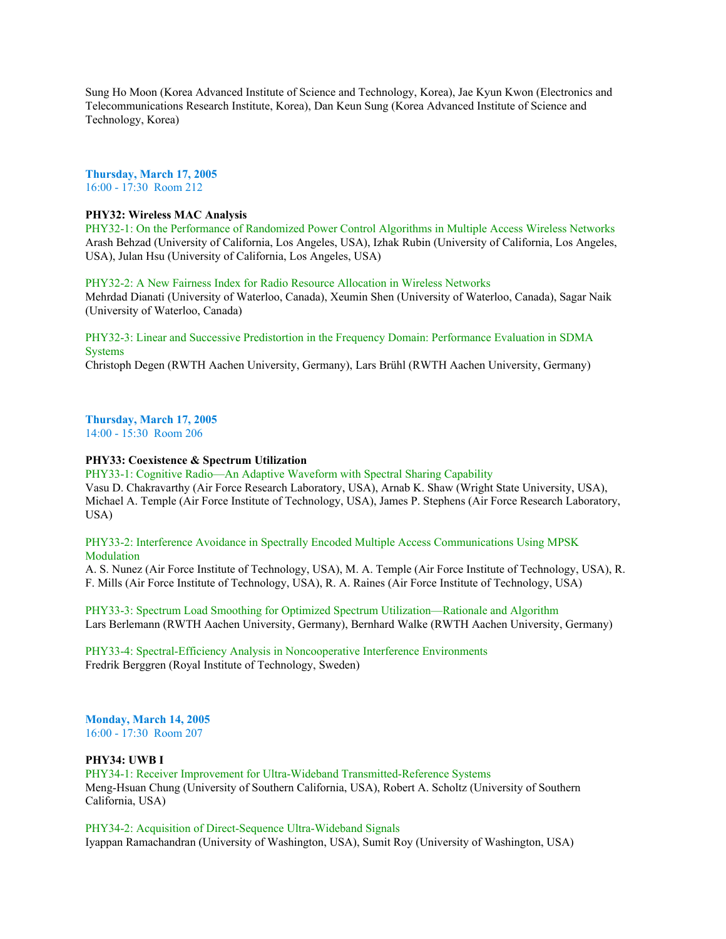Sung Ho Moon (Korea Advanced Institute of Science and Technology, Korea), Jae Kyun Kwon (Electronics and Telecommunications Research Institute, Korea), Dan Keun Sung (Korea Advanced Institute of Science and Technology, Korea)

**Thursday, March 17, 2005** 16:00 - 17:30 Room 212

### **PHY32: Wireless MAC Analysis**

PHY32-1: On the Performance of Randomized Power Control Algorithms in Multiple Access Wireless Networks Arash Behzad (University of California, Los Angeles, USA), Izhak Rubin (University of California, Los Angeles, USA), Julan Hsu (University of California, Los Angeles, USA)

PHY32-2: A New Fairness Index for Radio Resource Allocation in Wireless Networks

Mehrdad Dianati (University of Waterloo, Canada), Xeumin Shen (University of Waterloo, Canada), Sagar Naik (University of Waterloo, Canada)

PHY32-3: Linear and Successive Predistortion in the Frequency Domain: Performance Evaluation in SDMA **Systems** 

Christoph Degen (RWTH Aachen University, Germany), Lars Brühl (RWTH Aachen University, Germany)

# **Thursday, March 17, 2005**

14:00 - 15:30 Room 206

## **PHY33: Coexistence & Spectrum Utilization**

PHY33-1: Cognitive Radio—An Adaptive Waveform with Spectral Sharing Capability Vasu D. Chakravarthy (Air Force Research Laboratory, USA), Arnab K. Shaw (Wright State University, USA), Michael A. Temple (Air Force Institute of Technology, USA), James P. Stephens (Air Force Research Laboratory, USA)

# PHY33-2: Interference Avoidance in Spectrally Encoded Multiple Access Communications Using MPSK Modulation

A. S. Nunez (Air Force Institute of Technology, USA), M. A. Temple (Air Force Institute of Technology, USA), R. F. Mills (Air Force Institute of Technology, USA), R. A. Raines (Air Force Institute of Technology, USA)

PHY33-3: Spectrum Load Smoothing for Optimized Spectrum Utilization—Rationale and Algorithm Lars Berlemann (RWTH Aachen University, Germany), Bernhard Walke (RWTH Aachen University, Germany)

PHY33-4: Spectral-Efficiency Analysis in Noncooperative Interference Environments Fredrik Berggren (Royal Institute of Technology, Sweden)

# **Monday, March 14, 2005**

16:00 - 17:30 Room 207

# **PHY34: UWB I**

PHY34-1: Receiver Improvement for Ultra-Wideband Transmitted-Reference Systems Meng-Hsuan Chung (University of Southern California, USA), Robert A. Scholtz (University of Southern California, USA)

PHY34-2: Acquisition of Direct-Sequence Ultra-Wideband Signals Iyappan Ramachandran (University of Washington, USA), Sumit Roy (University of Washington, USA)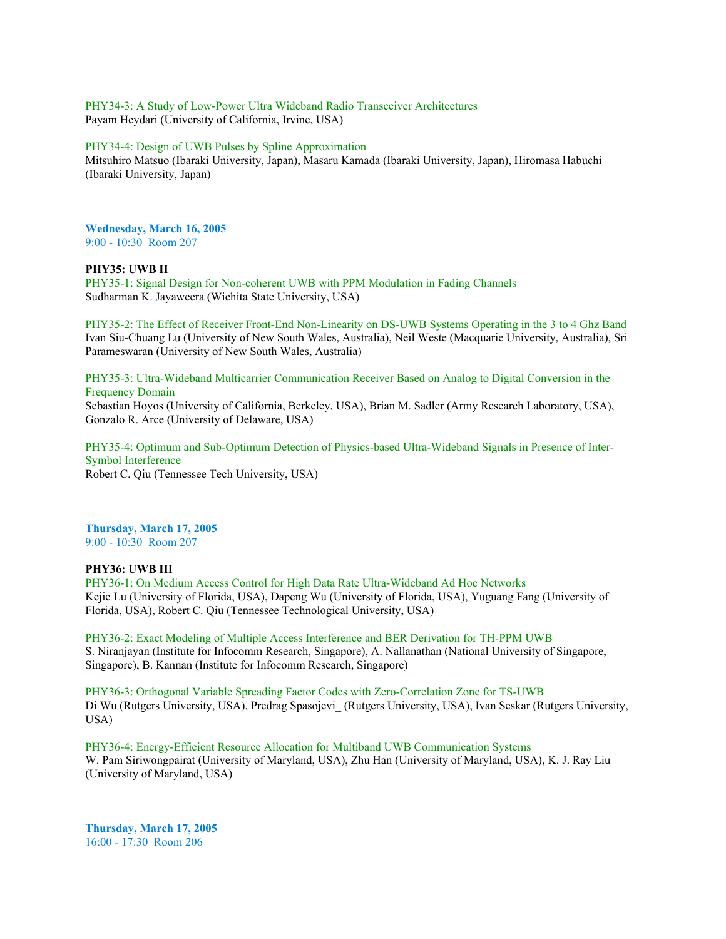PHY34-3: A Study of Low-Power Ultra Wideband Radio Transceiver Architectures Payam Heydari (University of California, Irvine, USA)

#### PHY34-4: Design of UWB Pulses by Spline Approximation

Mitsuhiro Matsuo (Ibaraki University, Japan), Masaru Kamada (Ibaraki University, Japan), Hiromasa Habuchi (Ibaraki University, Japan)

## **Wednesday, March 16, 2005** 9:00 - 10:30 Room 207

#### **PHY35: UWB II**

PHY35-1: Signal Design for Non-coherent UWB with PPM Modulation in Fading Channels Sudharman K. Jayaweera (Wichita State University, USA)

PHY35-2: The Effect of Receiver Front-End Non-Linearity on DS-UWB Systems Operating in the 3 to 4 Ghz Band Ivan Siu-Chuang Lu (University of New South Wales, Australia), Neil Weste (Macquarie University, Australia), Sri Parameswaran (University of New South Wales, Australia)

PHY35-3: Ultra-Wideband Multicarrier Communication Receiver Based on Analog to Digital Conversion in the Frequency Domain

Sebastian Hoyos (University of California, Berkeley, USA), Brian M. Sadler (Army Research Laboratory, USA), Gonzalo R. Arce (University of Delaware, USA)

PHY35-4: Optimum and Sub-Optimum Detection of Physics-based Ultra-Wideband Signals in Presence of Inter-Symbol Interference Robert C. Qiu (Tennessee Tech University, USA)

### **Thursday, March 17, 2005** 9:00 - 10:30 Room 207

#### **PHY36: UWB III**

PHY36-1: On Medium Access Control for High Data Rate Ultra-Wideband Ad Hoc Networks Kejie Lu (University of Florida, USA), Dapeng Wu (University of Florida, USA), Yuguang Fang (University of Florida, USA), Robert C. Qiu (Tennessee Technological University, USA)

PHY36-2: Exact Modeling of Multiple Access Interference and BER Derivation for TH-PPM UWB S. Niranjayan (Institute for Infocomm Research, Singapore), A. Nallanathan (National University of Singapore, Singapore), B. Kannan (Institute for Infocomm Research, Singapore)

PHY36-3: Orthogonal Variable Spreading Factor Codes with Zero-Correlation Zone for TS-UWB Di Wu (Rutgers University, USA), Predrag Spasojevi\_ (Rutgers University, USA), Ivan Seskar (Rutgers University, USA)

PHY36-4: Energy-Efficient Resource Allocation for Multiband UWB Communication Systems W. Pam Siriwongpairat (University of Maryland, USA), Zhu Han (University of Maryland, USA), K. J. Ray Liu (University of Maryland, USA)

**Thursday, March 17, 2005** 16:00 - 17:30 Room 206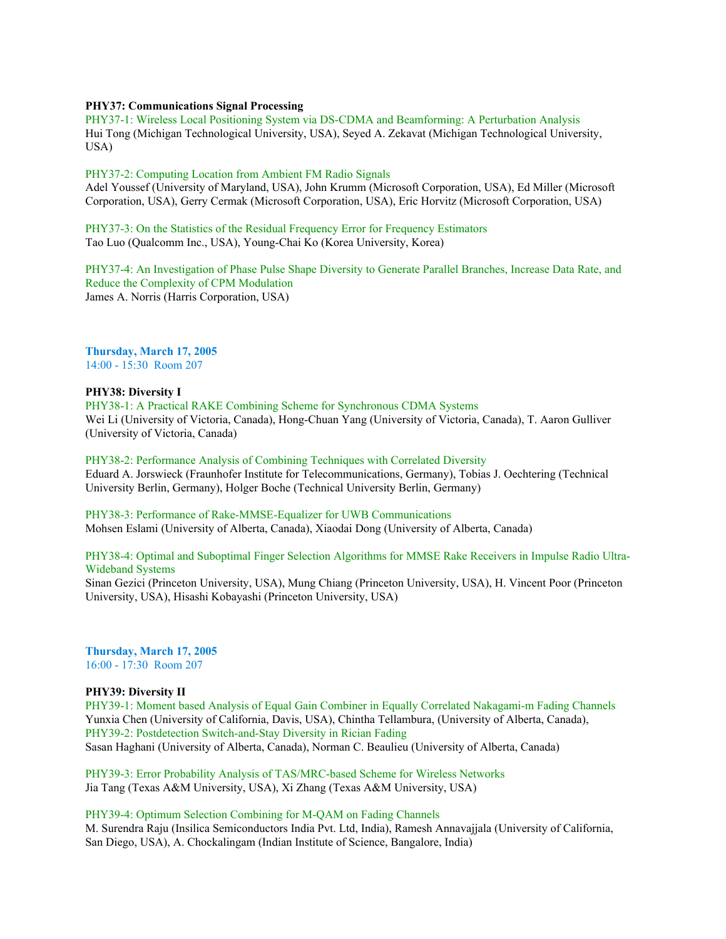#### **PHY37: Communications Signal Processing**

PHY37-1: Wireless Local Positioning System via DS-CDMA and Beamforming: A Perturbation Analysis Hui Tong (Michigan Technological University, USA), Seyed A. Zekavat (Michigan Technological University, USA)

PHY37-2: Computing Location from Ambient FM Radio Signals

Adel Youssef (University of Maryland, USA), John Krumm (Microsoft Corporation, USA), Ed Miller (Microsoft Corporation, USA), Gerry Cermak (Microsoft Corporation, USA), Eric Horvitz (Microsoft Corporation, USA)

PHY37-3: On the Statistics of the Residual Frequency Error for Frequency Estimators Tao Luo (Qualcomm Inc., USA), Young-Chai Ko (Korea University, Korea)

PHY37-4: An Investigation of Phase Pulse Shape Diversity to Generate Parallel Branches, Increase Data Rate, and Reduce the Complexity of CPM Modulation James A. Norris (Harris Corporation, USA)

**Thursday, March 17, 2005** 14:00 - 15:30 Room 207

## **PHY38: Diversity I**

PHY38-1: A Practical RAKE Combining Scheme for Synchronous CDMA Systems Wei Li (University of Victoria, Canada), Hong-Chuan Yang (University of Victoria, Canada), T. Aaron Gulliver (University of Victoria, Canada)

PHY38-2: Performance Analysis of Combining Techniques with Correlated Diversity

Eduard A. Jorswieck (Fraunhofer Institute for Telecommunications, Germany), Tobias J. Oechtering (Technical University Berlin, Germany), Holger Boche (Technical University Berlin, Germany)

PHY38-3: Performance of Rake-MMSE-Equalizer for UWB Communications Mohsen Eslami (University of Alberta, Canada), Xiaodai Dong (University of Alberta, Canada)

# PHY38-4: Optimal and Suboptimal Finger Selection Algorithms for MMSE Rake Receivers in Impulse Radio Ultra-Wideband Systems

Sinan Gezici (Princeton University, USA), Mung Chiang (Princeton University, USA), H. Vincent Poor (Princeton University, USA), Hisashi Kobayashi (Princeton University, USA)

**Thursday, March 17, 2005** 16:00 - 17:30 Room 207

## **PHY39: Diversity II**

PHY39-1: Moment based Analysis of Equal Gain Combiner in Equally Correlated Nakagami-m Fading Channels Yunxia Chen (University of California, Davis, USA), Chintha Tellambura, (University of Alberta, Canada), PHY39-2: Postdetection Switch-and-Stay Diversity in Rician Fading Sasan Haghani (University of Alberta, Canada), Norman C. Beaulieu (University of Alberta, Canada)

PHY39-3: Error Probability Analysis of TAS/MRC-based Scheme for Wireless Networks Jia Tang (Texas A&M University, USA), Xi Zhang (Texas A&M University, USA)

# PHY39-4: Optimum Selection Combining for M-QAM on Fading Channels

M. Surendra Raju (Insilica Semiconductors India Pvt. Ltd, India), Ramesh Annavajjala (University of California, San Diego, USA), A. Chockalingam (Indian Institute of Science, Bangalore, India)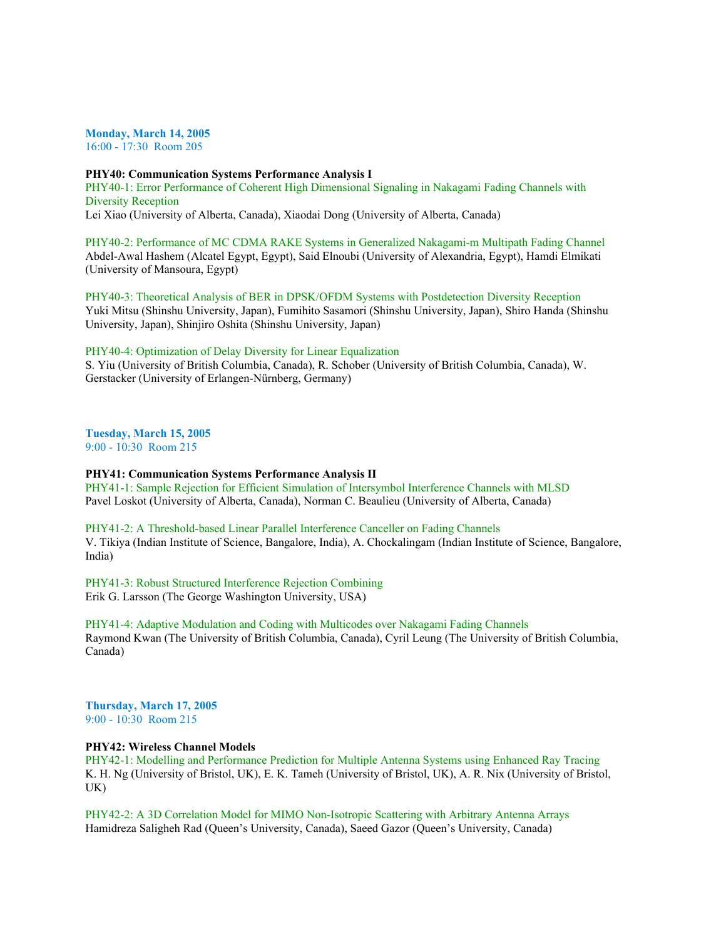**Monday, March 14, 2005**

16:00 - 17:30 Room 205

### **PHY40: Communication Systems Performance Analysis I**

PHY40-1: Error Performance of Coherent High Dimensional Signaling in Nakagami Fading Channels with Diversity Reception Lei Xiao (University of Alberta, Canada), Xiaodai Dong (University of Alberta, Canada)

PHY40-2: Performance of MC CDMA RAKE Systems in Generalized Nakagami-m Multipath Fading Channel Abdel-Awal Hashem (Alcatel Egypt, Egypt), Said Elnoubi (University of Alexandria, Egypt), Hamdi Elmikati (University of Mansoura, Egypt)

PHY40-3: Theoretical Analysis of BER in DPSK/OFDM Systems with Postdetection Diversity Reception Yuki Mitsu (Shinshu University, Japan), Fumihito Sasamori (Shinshu University, Japan), Shiro Handa (Shinshu University, Japan), Shinjiro Oshita (Shinshu University, Japan)

## PHY40-4: Optimization of Delay Diversity for Linear Equalization

S. Yiu (University of British Columbia, Canada), R. Schober (University of British Columbia, Canada), W. Gerstacker (University of Erlangen-Nürnberg, Germany)

**Tuesday, March 15, 2005** 9:00 - 10:30 Room 215

#### **PHY41: Communication Systems Performance Analysis II**

PHY41-1: Sample Rejection for Efficient Simulation of Intersymbol Interference Channels with MLSD Pavel Loskot (University of Alberta, Canada), Norman C. Beaulieu (University of Alberta, Canada)

PHY41-2: A Threshold-based Linear Parallel Interference Canceller on Fading Channels V. Tikiya (Indian Institute of Science, Bangalore, India), A. Chockalingam (Indian Institute of Science, Bangalore, India)

PHY41-3: Robust Structured Interference Rejection Combining Erik G. Larsson (The George Washington University, USA)

PHY41-4: Adaptive Modulation and Coding with Multicodes over Nakagami Fading Channels Raymond Kwan (The University of British Columbia, Canada), Cyril Leung (The University of British Columbia, Canada)

**Thursday, March 17, 2005** 9:00 - 10:30 Room 215

## **PHY42: Wireless Channel Models**

PHY42-1: Modelling and Performance Prediction for Multiple Antenna Systems using Enhanced Ray Tracing K. H. Ng (University of Bristol, UK), E. K. Tameh (University of Bristol, UK), A. R. Nix (University of Bristol, UK)

PHY42-2: A 3D Correlation Model for MIMO Non-Isotropic Scattering with Arbitrary Antenna Arrays Hamidreza Saligheh Rad (Queen's University, Canada), Saeed Gazor (Queen's University, Canada)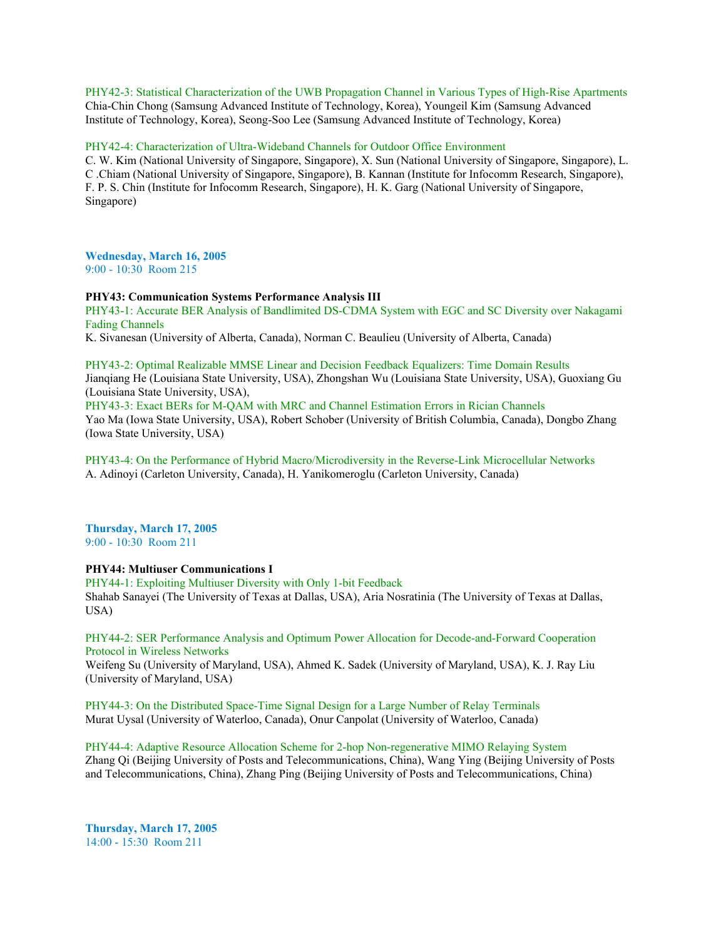PHY42-3: Statistical Characterization of the UWB Propagation Channel in Various Types of High-Rise Apartments Chia-Chin Chong (Samsung Advanced Institute of Technology, Korea), Youngeil Kim (Samsung Advanced Institute of Technology, Korea), Seong-Soo Lee (Samsung Advanced Institute of Technology, Korea)

PHY42-4: Characterization of Ultra-Wideband Channels for Outdoor Office Environment

C. W. Kim (National University of Singapore, Singapore), X. Sun (National University of Singapore, Singapore), L. C .Chiam (National University of Singapore, Singapore), B. Kannan (Institute for Infocomm Research, Singapore), F. P. S. Chin (Institute for Infocomm Research, Singapore), H. K. Garg (National University of Singapore, Singapore)

**Wednesday, March 16, 2005** 9:00 - 10:30 Room 215

### **PHY43: Communication Systems Performance Analysis III**

PHY43-1: Accurate BER Analysis of Bandlimited DS-CDMA System with EGC and SC Diversity over Nakagami Fading Channels

K. Sivanesan (University of Alberta, Canada), Norman C. Beaulieu (University of Alberta, Canada)

PHY43-2: Optimal Realizable MMSE Linear and Decision Feedback Equalizers: Time Domain Results Jianqiang He (Louisiana State University, USA), Zhongshan Wu (Louisiana State University, USA), Guoxiang Gu (Louisiana State University, USA),

PHY43-3: Exact BERs for M-QAM with MRC and Channel Estimation Errors in Rician Channels Yao Ma (Iowa State University, USA), Robert Schober (University of British Columbia, Canada), Dongbo Zhang (Iowa State University, USA)

PHY43-4: On the Performance of Hybrid Macro/Microdiversity in the Reverse-Link Microcellular Networks A. Adinoyi (Carleton University, Canada), H. Yanikomeroglu (Carleton University, Canada)

**Thursday, March 17, 2005** 9:00 - 10:30 Room 211

**PHY44: Multiuser Communications I**

PHY44-1: Exploiting Multiuser Diversity with Only 1-bit Feedback Shahab Sanayei (The University of Texas at Dallas, USA), Aria Nosratinia (The University of Texas at Dallas, USA)

PHY44-2: SER Performance Analysis and Optimum Power Allocation for Decode-and-Forward Cooperation Protocol in Wireless Networks Weifeng Su (University of Maryland, USA), Ahmed K. Sadek (University of Maryland, USA), K. J. Ray Liu (University of Maryland, USA)

PHY44-3: On the Distributed Space-Time Signal Design for a Large Number of Relay Terminals Murat Uysal (University of Waterloo, Canada), Onur Canpolat (University of Waterloo, Canada)

PHY44-4: Adaptive Resource Allocation Scheme for 2-hop Non-regenerative MIMO Relaying System Zhang Qi (Beijing University of Posts and Telecommunications, China), Wang Ying (Beijing University of Posts and Telecommunications, China), Zhang Ping (Beijing University of Posts and Telecommunications, China)

**Thursday, March 17, 2005** 14:00 - 15:30 Room 211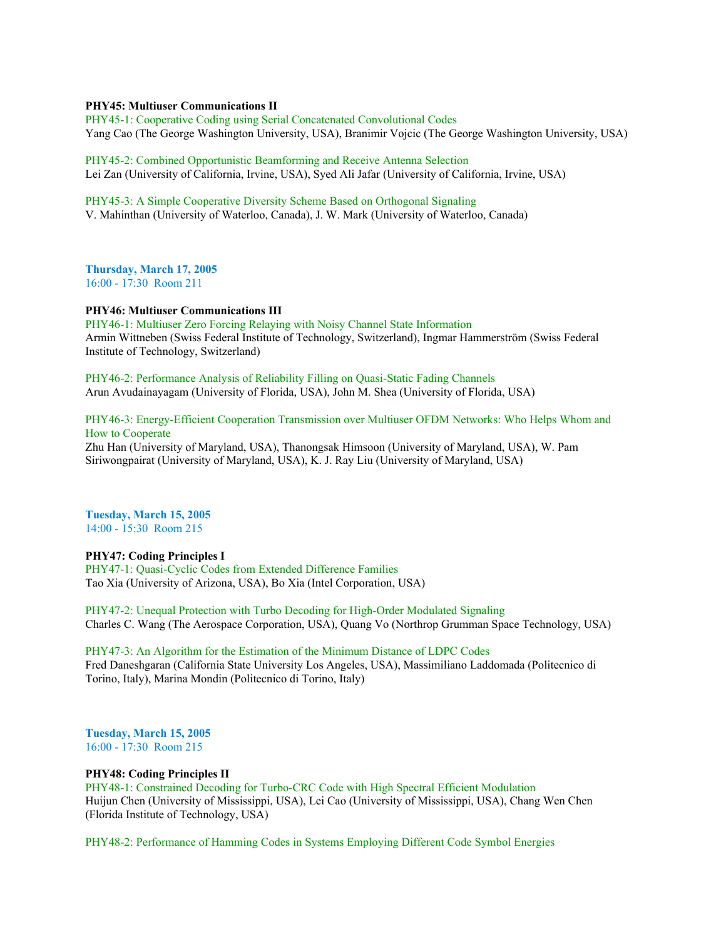#### **PHY45: Multiuser Communications II**

PHY45-1: Cooperative Coding using Serial Concatenated Convolutional Codes Yang Cao (The George Washington University, USA), Branimir Vojcic (The George Washington University, USA)

PHY45-2: Combined Opportunistic Beamforming and Receive Antenna Selection Lei Zan (University of California, Irvine, USA), Syed Ali Jafar (University of California, Irvine, USA)

PHY45-3: A Simple Cooperative Diversity Scheme Based on Orthogonal Signaling V. Mahinthan (University of Waterloo, Canada), J. W. Mark (University of Waterloo, Canada)

**Thursday, March 17, 2005** 16:00 - 17:30 Room 211

### **PHY46: Multiuser Communications III**

PHY46-1: Multiuser Zero Forcing Relaying with Noisy Channel State Information Armin Wittneben (Swiss Federal Institute of Technology, Switzerland), Ingmar Hammerström (Swiss Federal Institute of Technology, Switzerland)

PHY46-2: Performance Analysis of Reliability Filling on Quasi-Static Fading Channels Arun Avudainayagam (University of Florida, USA), John M. Shea (University of Florida, USA)

# PHY46-3: Energy-Efficient Cooperation Transmission over Multiuser OFDM Networks: Who Helps Whom and How to Cooperate Zhu Han (University of Maryland, USA), Thanongsak Himsoon (University of Maryland, USA), W. Pam

Siriwongpairat (University of Maryland, USA), K. J. Ray Liu (University of Maryland, USA)

**Tuesday, March 15, 2005** 14:00 - 15:30 Room 215

# **PHY47: Coding Principles I**

PHY47-1: Quasi-Cyclic Codes from Extended Difference Families Tao Xia (University of Arizona, USA), Bo Xia (Intel Corporation, USA)

PHY47-2: Unequal Protection with Turbo Decoding for High-Order Modulated Signaling Charles C. Wang (The Aerospace Corporation, USA), Quang Vo (Northrop Grumman Space Technology, USA)

PHY47-3: An Algorithm for the Estimation of the Minimum Distance of LDPC Codes Fred Daneshgaran (California State University Los Angeles, USA), Massimiliano Laddomada (Politecnico di Torino, Italy), Marina Mondin (Politecnico di Torino, Italy)

**Tuesday, March 15, 2005** 16:00 - 17:30 Room 215

## **PHY48: Coding Principles II**

PHY48-1: Constrained Decoding for Turbo-CRC Code with High Spectral Efficient Modulation Huijun Chen (University of Mississippi, USA), Lei Cao (University of Mississippi, USA), Chang Wen Chen (Florida Institute of Technology, USA)

PHY48-2: Performance of Hamming Codes in Systems Employing Different Code Symbol Energies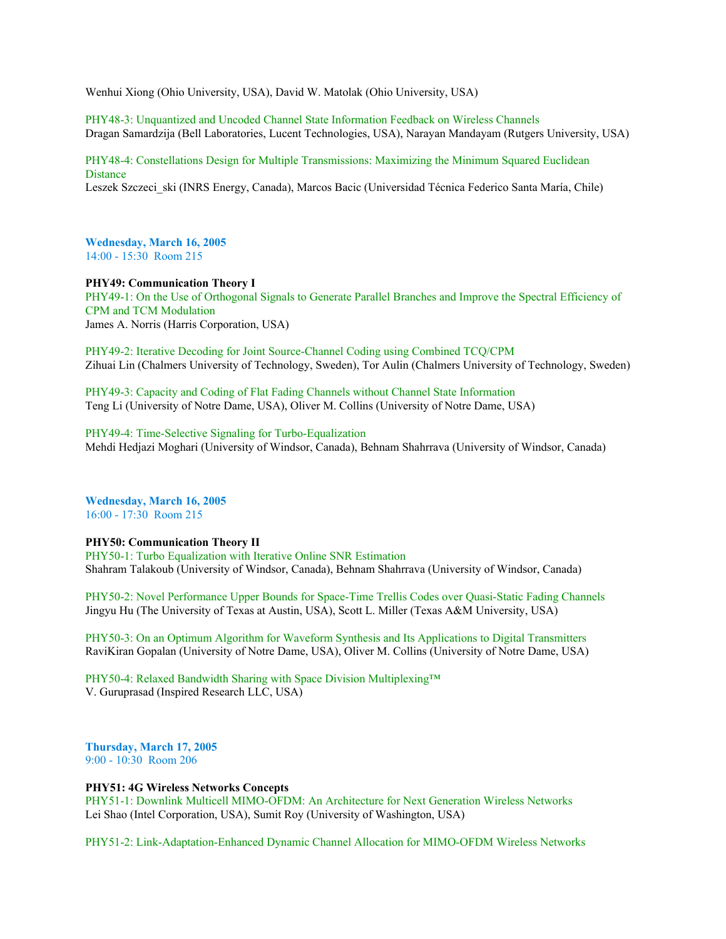Wenhui Xiong (Ohio University, USA), David W. Matolak (Ohio University, USA)

PHY48-3: Unquantized and Uncoded Channel State Information Feedback on Wireless Channels Dragan Samardzija (Bell Laboratories, Lucent Technologies, USA), Narayan Mandayam (Rutgers University, USA)

PHY48-4: Constellations Design for Multiple Transmissions: Maximizing the Minimum Squared Euclidean **Distance** Leszek Szczeci ski (INRS Energy, Canada), Marcos Bacic (Universidad Técnica Federico Santa María, Chile)

**Wednesday, March 16, 2005** 14:00 - 15:30 Room 215

**PHY49: Communication Theory I**

PHY49-1: On the Use of Orthogonal Signals to Generate Parallel Branches and Improve the Spectral Efficiency of CPM and TCM Modulation James A. Norris (Harris Corporation, USA)

PHY49-2: Iterative Decoding for Joint Source-Channel Coding using Combined TCQ/CPM Zihuai Lin (Chalmers University of Technology, Sweden), Tor Aulin (Chalmers University of Technology, Sweden)

PHY49-3: Capacity and Coding of Flat Fading Channels without Channel State Information Teng Li (University of Notre Dame, USA), Oliver M. Collins (University of Notre Dame, USA)

PHY49-4: Time-Selective Signaling for Turbo-Equalization Mehdi Hedjazi Moghari (University of Windsor, Canada), Behnam Shahrrava (University of Windsor, Canada)

**Wednesday, March 16, 2005** 16:00 - 17:30 Room 215

# **PHY50: Communication Theory II**

PHY50-1: Turbo Equalization with Iterative Online SNR Estimation Shahram Talakoub (University of Windsor, Canada), Behnam Shahrrava (University of Windsor, Canada)

PHY50-2: Novel Performance Upper Bounds for Space-Time Trellis Codes over Quasi-Static Fading Channels Jingyu Hu (The University of Texas at Austin, USA), Scott L. Miller (Texas A&M University, USA)

PHY50-3: On an Optimum Algorithm for Waveform Synthesis and Its Applications to Digital Transmitters RaviKiran Gopalan (University of Notre Dame, USA), Oliver M. Collins (University of Notre Dame, USA)

PHY50-4: Relaxed Bandwidth Sharing with Space Division Multiplexing™ V. Guruprasad (Inspired Research LLC, USA)

**Thursday, March 17, 2005** 9:00 - 10:30 Room 206

## **PHY51: 4G Wireless Networks Concepts**

PHY51-1: Downlink Multicell MIMO-OFDM: An Architecture for Next Generation Wireless Networks Lei Shao (Intel Corporation, USA), Sumit Roy (University of Washington, USA)

PHY51-2: Link-Adaptation-Enhanced Dynamic Channel Allocation for MIMO-OFDM Wireless Networks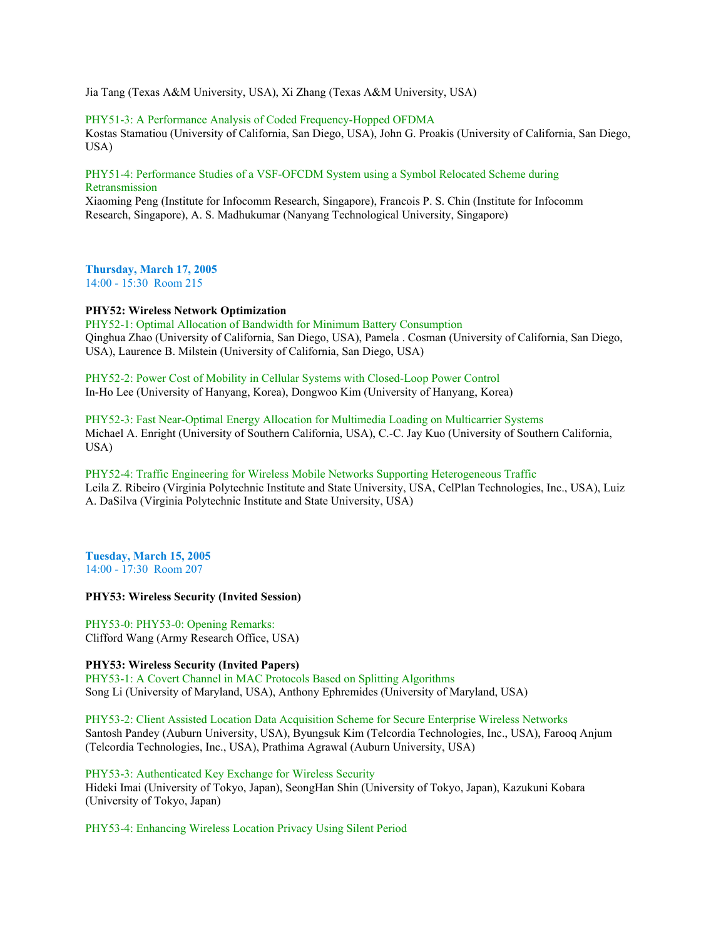Jia Tang (Texas A&M University, USA), Xi Zhang (Texas A&M University, USA)

## PHY51-3: A Performance Analysis of Coded Frequency-Hopped OFDMA

Kostas Stamatiou (University of California, San Diego, USA), John G. Proakis (University of California, San Diego, USA)

## PHY51-4: Performance Studies of a VSF-OFCDM System using a Symbol Relocated Scheme during Retransmission

Xiaoming Peng (Institute for Infocomm Research, Singapore), Francois P. S. Chin (Institute for Infocomm Research, Singapore), A. S. Madhukumar (Nanyang Technological University, Singapore)

**Thursday, March 17, 2005** 14:00 - 15:30 Room 215

**PHY52: Wireless Network Optimization**

PHY52-1: Optimal Allocation of Bandwidth for Minimum Battery Consumption Qinghua Zhao (University of California, San Diego, USA), Pamela . Cosman (University of California, San Diego, USA), Laurence B. Milstein (University of California, San Diego, USA)

PHY52-2: Power Cost of Mobility in Cellular Systems with Closed-Loop Power Control In-Ho Lee (University of Hanyang, Korea), Dongwoo Kim (University of Hanyang, Korea)

PHY52-3: Fast Near-Optimal Energy Allocation for Multimedia Loading on Multicarrier Systems Michael A. Enright (University of Southern California, USA), C.-C. Jay Kuo (University of Southern California, USA)

PHY52-4: Traffic Engineering for Wireless Mobile Networks Supporting Heterogeneous Traffic Leila Z. Ribeiro (Virginia Polytechnic Institute and State University, USA, CelPlan Technologies, Inc., USA), Luiz A. DaSilva (Virginia Polytechnic Institute and State University, USA)

**Tuesday, March 15, 2005** 14:00 - 17:30 Room 207

#### **PHY53: Wireless Security (Invited Session)**

PHY53-0: PHY53-0: Opening Remarks: Clifford Wang (Army Research Office, USA)

**PHY53: Wireless Security (Invited Papers)** PHY53-1: A Covert Channel in MAC Protocols Based on Splitting Algorithms Song Li (University of Maryland, USA), Anthony Ephremides (University of Maryland, USA)

PHY53-2: Client Assisted Location Data Acquisition Scheme for Secure Enterprise Wireless Networks Santosh Pandey (Auburn University, USA), Byungsuk Kim (Telcordia Technologies, Inc., USA), Farooq Anjum (Telcordia Technologies, Inc., USA), Prathima Agrawal (Auburn University, USA)

PHY53-3: Authenticated Key Exchange for Wireless Security Hideki Imai (University of Tokyo, Japan), SeongHan Shin (University of Tokyo, Japan), Kazukuni Kobara (University of Tokyo, Japan)

PHY53-4: Enhancing Wireless Location Privacy Using Silent Period